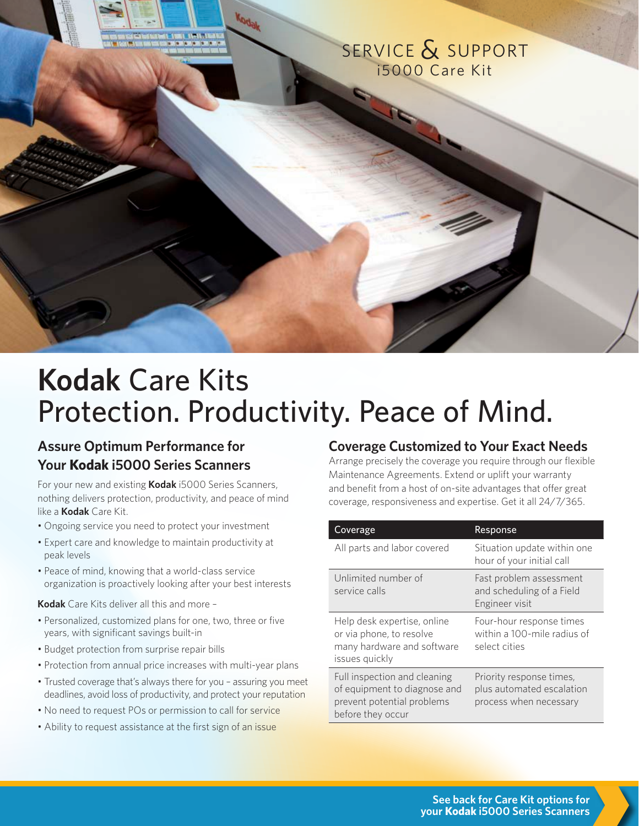

# **Kodak** Care Kits Protection. Productivity. Peace of Mind.

# **Assure Optimum Performance for Your Kodak i5000 Series Scanners**

For your new and existing **Kodak** i5000 Series Scanners, nothing delivers protection, productivity, and peace of mind like a **Kodak** Care Kit.

- Ongoing service you need to protect your investment
- Expert care and knowledge to maintain productivity at peak levels
- Peace of mind, knowing that a world-class service organization is proactively looking after your best interests

**Kodak** Care Kits deliver all this and more –

- Personalized, customized plans for one, two, three or five years, with significant savings built-in
- Budget protection from surprise repair bills
- Protection from annual price increases with multi-year plans
- Trusted coverage that's always there for you assuring you meet deadlines, avoid loss of productivity, and protect your reputation
- No need to request POs or permission to call for service
- Ability to request assistance at the first sign of an issue

## **Coverage Customized to Your Exact Needs**

Arrange precisely the coverage you require through our flexible Maintenance Agreements. Extend or uplift your warranty and benefit from a host of on-site advantages that offer great coverage, responsiveness and expertise. Get it all 24/7/365.

| Coverage                                                                                                        | Response                                                                        |
|-----------------------------------------------------------------------------------------------------------------|---------------------------------------------------------------------------------|
| All parts and labor covered                                                                                     | Situation update within one<br>hour of your initial call                        |
| Unlimited number of<br>service calls                                                                            | Fast problem assessment<br>and scheduling of a Field<br>Engineer visit          |
| Help desk expertise, online<br>or via phone, to resolve<br>many hardware and software<br>issues quickly         | Four-hour response times<br>within a 100-mile radius of<br>select cities        |
| Full inspection and cleaning<br>of equipment to diagnose and<br>prevent potential problems<br>before they occur | Priority response times,<br>plus automated escalation<br>process when necessary |